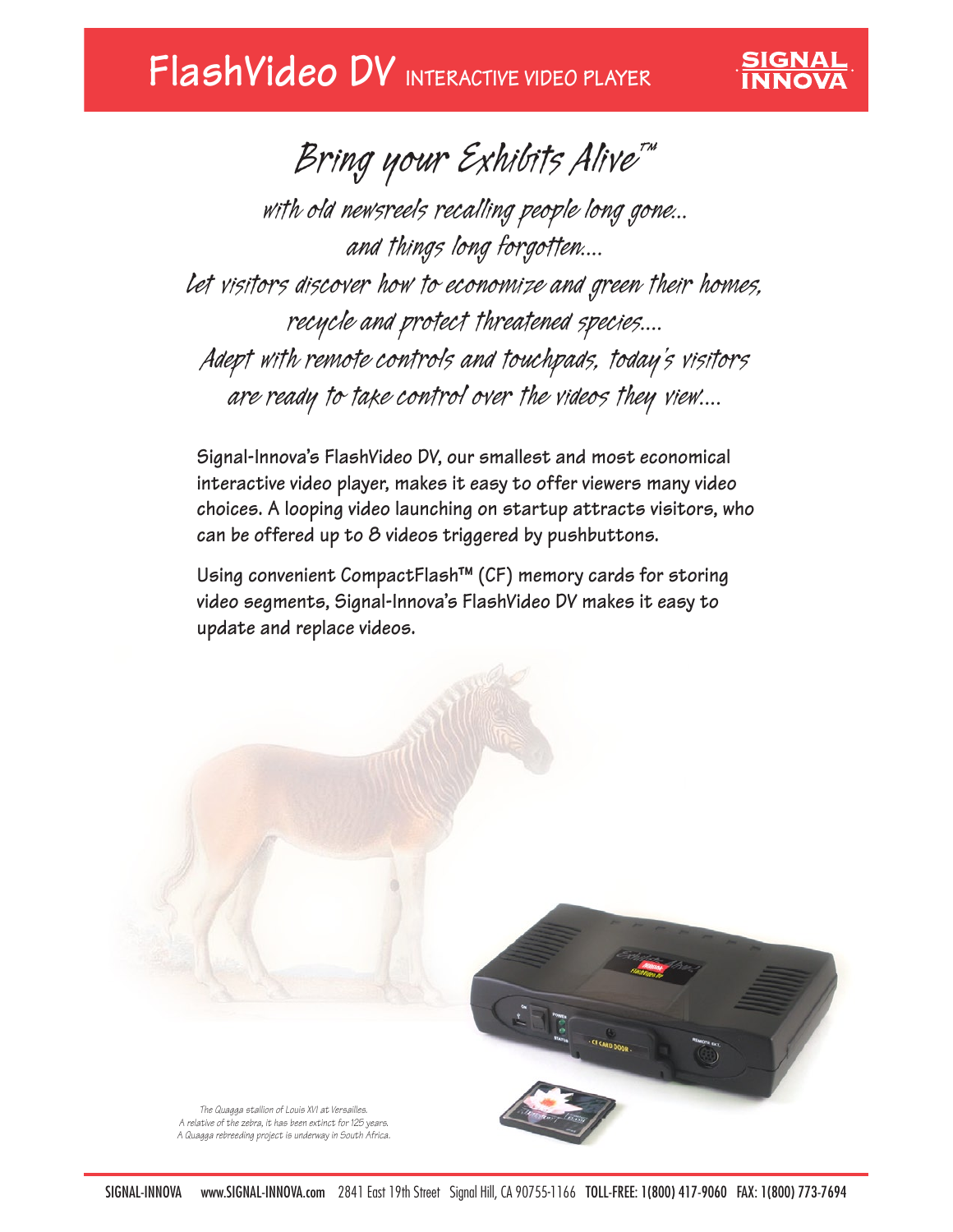*Bring your Exhibits Alive™* 

**SIGNAL** 

*with old newsreels recalling people long gone... and things long forgotten.... Let visitors discover how to economize and green their homes, recycle and protect threatened species.... Adept with remote controls and touchpads, today's visitors are ready to take control over the videos they view....*

**Signal-Innova's FlashVideo DV, our smallest and most economical interactive video player, makes it easy to offer viewers many video choices. A looping video launching on startup attracts visitors, who can be offered up to 8 videos triggered by pushbuttons.**

**Using convenient CompactFlash™ (CF) memory cards for storing video segments, Signal-Innova's FlashVideo DV makes it easy to update and replace videos.**



*A relative of the zebra, it has been extinct for 125 years. A Quagga rebreeding project is underway in South Africa.*